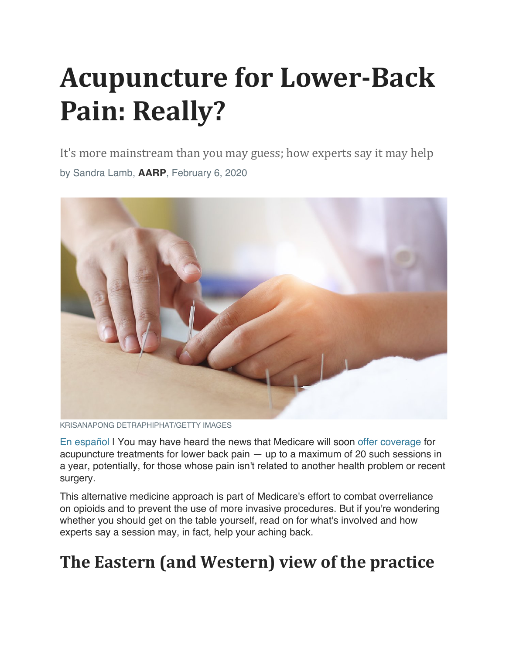# **Acupuncture for Lower-Back** Pain: Really?

It's more mainstream than you may guess; how experts say it may help by Sandra Lamb, **AARP**, February 6, 2020



KRISANAPONG DETRAPHIPHAT/GETTY IMAGES

En español I You may have heard the news that Medicare will soon offer coverage for acupuncture treatments for lower back pain — up to a maximum of 20 such sessions in a year, potentially, for those whose pain isn't related to another health problem or recent surgery.

This alternative medicine approach is part of Medicare's effort to combat overreliance on opioids and to prevent the use of more invasive procedures. But if you're wondering whether you should get on the table yourself, read on for what's involved and how experts say a session may, in fact, help your aching back.

## **The Eastern (and Western) view of the practice**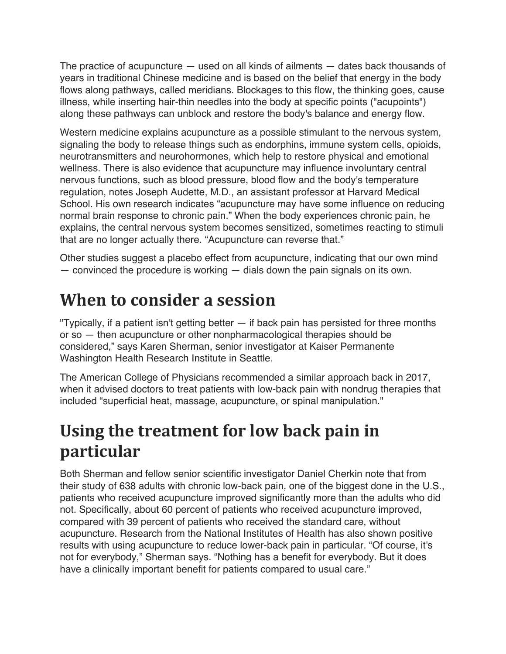The practice of acupuncture — used on all kinds of ailments — dates back thousands of years in traditional Chinese medicine and is based on the belief that energy in the body flows along pathways, called meridians. Blockages to this flow, the thinking goes, cause illness, while inserting hair-thin needles into the body at specific points ("acupoints") along these pathways can unblock and restore the body's balance and energy flow.

Western medicine explains acupuncture as a possible stimulant to the nervous system, signaling the body to release things such as endorphins, immune system cells, opioids, neurotransmitters and neurohormones, which help to restore physical and emotional wellness. There is also evidence that acupuncture may influence involuntary central nervous functions, such as blood pressure, blood flow and the body's temperature regulation, notes Joseph Audette, M.D., an assistant professor at Harvard Medical School. His own research indicates "acupuncture may have some influence on reducing normal brain response to chronic pain." When the body experiences chronic pain, he explains, the central nervous system becomes sensitized, sometimes reacting to stimuli that are no longer actually there. "Acupuncture can reverse that."

Other studies suggest a placebo effect from acupuncture, indicating that our own mind — convinced the procedure is working — dials down the pain signals on its own.

#### **When to consider a session**

"Typically, if a patient isn't getting better — if back pain has persisted for three months or so — then acupuncture or other nonpharmacological therapies should be considered," says Karen Sherman, senior investigator at Kaiser Permanente Washington Health Research Institute in Seattle.

The American College of Physicians recommended a similar approach back in 2017, when it advised doctors to treat patients with low-back pain with nondrug therapies that included "superficial heat, massage, acupuncture, or spinal manipulation."

## **Using the treatment for low back pain in particular**

Both Sherman and fellow senior scientific investigator Daniel Cherkin note that from their study of 638 adults with chronic low-back pain, one of the biggest done in the U.S., patients who received acupuncture improved significantly more than the adults who did not. Specifically, about 60 percent of patients who received acupuncture improved, compared with 39 percent of patients who received the standard care, without acupuncture. Research from the National Institutes of Health has also shown positive results with using acupuncture to reduce lower-back pain in particular. "Of course, it's not for everybody," Sherman says. "Nothing has a benefit for everybody. But it does have a clinically important benefit for patients compared to usual care."